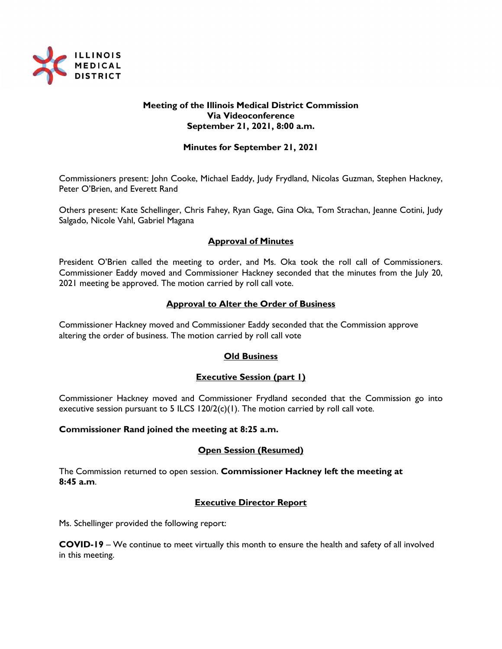

### **Meeting of the Illinois Medical District Commission Via Videoconference September 21, 2021, 8:00 a.m.**

### **Minutes for September 21, 2021**

Commissioners present: John Cooke, Michael Eaddy, Judy Frydland, Nicolas Guzman, Stephen Hackney, Peter O'Brien, and Everett Rand

Others present: Kate Schellinger, Chris Fahey, Ryan Gage, Gina Oka, Tom Strachan, Jeanne Cotini, Judy Salgado, Nicole Vahl, Gabriel Magana

# **Approval of Minutes**

President O'Brien called the meeting to order, and Ms. Oka took the roll call of Commissioners. Commissioner Eaddy moved and Commissioner Hackney seconded that the minutes from the July 20, 2021 meeting be approved. The motion carried by roll call vote.

#### **Approval to Alter the Order of Business**

Commissioner Hackney moved and Commissioner Eaddy seconded that the Commission approve altering the order of business. The motion carried by roll call vote

#### **Old Business**

#### **Executive Session (part 1)**

Commissioner Hackney moved and Commissioner Frydland seconded that the Commission go into executive session pursuant to 5 ILCS  $120/2(c)(1)$ . The motion carried by roll call vote.

#### **Commissioner Rand joined the meeting at 8:25 a.m.**

#### **Open Session (Resumed)**

The Commission returned to open session. **Commissioner Hackney left the meeting at 8:45 a.m**.

#### **Executive Director Report**

Ms. Schellinger provided the following report:

**COVID-19** – We continue to meet virtually this month to ensure the health and safety of all involved in this meeting.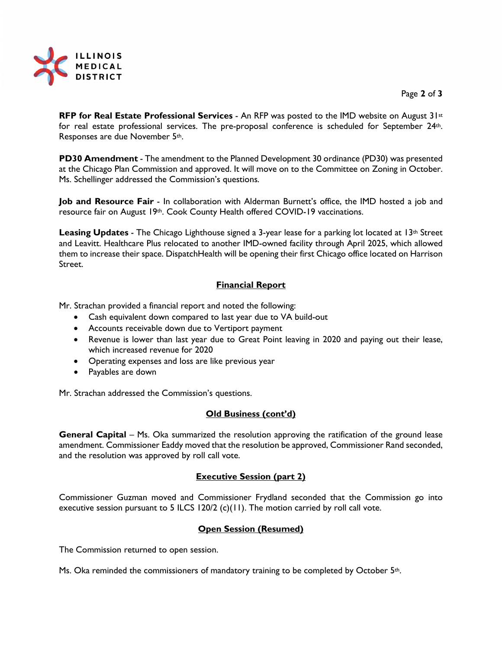

Page **2** of **3**

**RFP for Real Estate Professional Services** - An RFP was posted to the IMD website on August 31st for real estate professional services. The pre-proposal conference is scheduled for September 24th. Responses are due November 5th.

**PD30 Amendment** - The amendment to the Planned Development 30 ordinance (PD30) was presented at the Chicago Plan Commission and approved. It will move on to the Committee on Zoning in October. Ms. Schellinger addressed the Commission's questions.

**Job and Resource Fair** - In collaboration with Alderman Burnett's office, the IMD hosted a job and resource fair on August 19th. Cook County Health offered COVID-19 vaccinations.

**Leasing Updates** - The Chicago Lighthouse signed a 3-year lease for a parking lot located at 13<sup>th</sup> Street and Leavitt. Healthcare Plus relocated to another IMD-owned facility through April 2025, which allowed them to increase their space. DispatchHealth will be opening their first Chicago office located on Harrison Street.

# **Financial Report**

Mr. Strachan provided a financial report and noted the following:

- Cash equivalent down compared to last year due to VA build-out
- Accounts receivable down due to Vertiport payment
- Revenue is lower than last year due to Great Point leaving in 2020 and paying out their lease, which increased revenue for 2020
- Operating expenses and loss are like previous year
- Payables are down

Mr. Strachan addressed the Commission's questions.

# **Old Business (cont'd)**

**General Capital** – Ms. Oka summarized the resolution approving the ratification of the ground lease amendment. Commissioner Eaddy moved that the resolution be approved, Commissioner Rand seconded, and the resolution was approved by roll call vote.

#### **Executive Session (part 2)**

Commissioner Guzman moved and Commissioner Frydland seconded that the Commission go into executive session pursuant to 5 ILCS 120/2 (c)(11). The motion carried by roll call vote.

# **Open Session (Resumed)**

The Commission returned to open session.

Ms. Oka reminded the commissioners of mandatory training to be completed by October 5<sup>th</sup>.